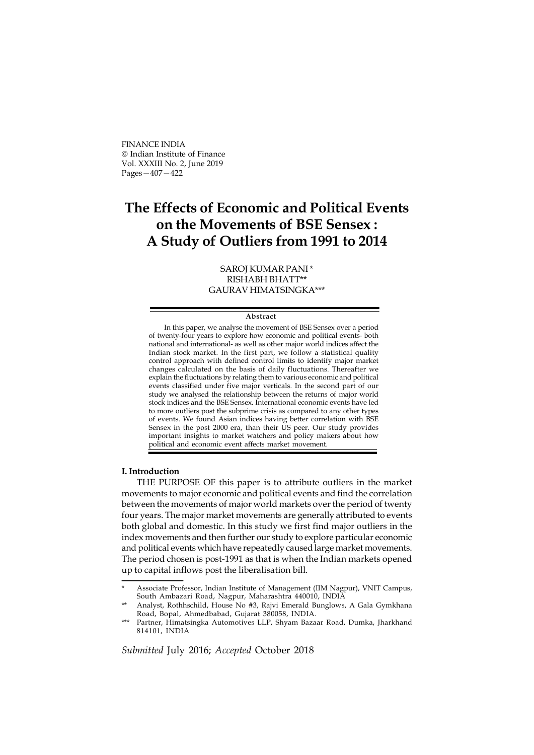FINANCE INDIA Indian Institute of Finance Vol. XXXIII No. 2, June 2019 Pages—407—422

# The Effects of Economic and Political Events on the Movements of BSE Sensex : A Study of Outliers from 1991 to 2014

# SAROJ KUMAR PANI \* RISHABH BHATT\*\* GAURAV HIMATSINGKA\*\*\*

#### Abstract

In this paper, we analyse the movement of BSE Sensex over a period of twenty-four years to explore how economic and political events- both national and international- as well as other major world indices affect the Indian stock market. In the first part, we follow a statistical quality control approach with defined control limits to identify major market changes calculated on the basis of daily fluctuations. Thereafter we explain the fluctuations by relating them to various economic and political events classified under five major verticals. In the second part of our study we analysed the relationship between the returns of major world stock indices and the BSE Sensex. International economic events have led to more outliers post the subprime crisis as compared to any other types of events. We found Asian indices having better correlation with BSE Sensex in the post 2000 era, than their US peer. Our study provides important insights to market watchers and policy makers about how political and economic event affects market movement.

# I. Introduction

THE PURPOSE OF this paper is to attribute outliers in the market movements to major economic and political events and find the correlation between the movements of major world markets over the period of twenty four years. The major market movements are generally attributed to events both global and domestic. In this study we first find major outliers in the index movements and then further our study to explore particular economic and political events which have repeatedly caused large market movements. The period chosen is post-1991 as that is when the Indian markets opened up to capital inflows post the liberalisation bill.

Associate Professor, Indian Institute of Management (IIM Nagpur), VNIT Campus, South Ambazari Road, Nagpur, Maharashtra 440010, INDIA

Analyst, Rothhschild, House No #3, Rajvi Emerald Bunglows, A Gala Gymkhana Road, Bopal, Ahmedbabad, Gujarat 380058, INDIA.

<sup>\*\*\*</sup> Partner, Himatsingka Automotives LLP, Shyam Bazaar Road, Dumka, Jharkhand 814101, INDIA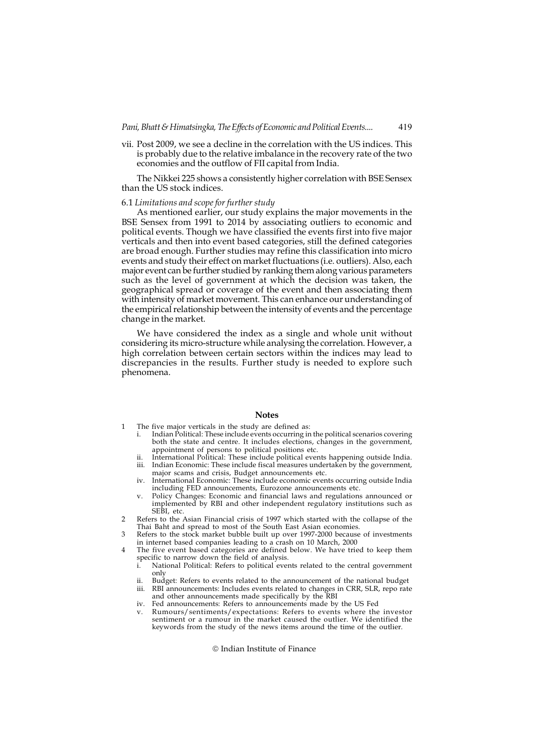vii. Post 2009, we see a decline in the correlation with the US indices. This is probably due to the relative imbalance in the recovery rate of the two economies and the outflow of FII capital from India.

The Nikkei 225 shows a consistently higher correlation with BSE Sensex than the US stock indices.

## 6.1 Limitations and scope for further study

As mentioned earlier, our study explains the major movements in the BSE Sensex from 1991 to 2014 by associating outliers to economic and political events. Though we have classified the events first into five major verticals and then into event based categories, still the defined categories are broad enough. Further studies may refine this classification into micro events and study their effect on market fluctuations (i.e. outliers). Also, each major event can be further studied by ranking them along various parameters such as the level of government at which the decision was taken, the geographical spread or coverage of the event and then associating them with intensity of market movement. This can enhance our understanding of the empirical relationship between the intensity of events and the percentage change in the market.

We have considered the index as a single and whole unit without considering its micro-structure while analysing the correlation. However, a high correlation between certain sectors within the indices may lead to discrepancies in the results. Further study is needed to explore such phenomena.

# **Notes**

- 1 The five major verticals in the study are defined as:<br>i. Indian Political: These include events occurring in
	- Indian Political: These include events occurring in the political scenarios covering both the state and centre. It includes elections, changes in the government, appointment of persons to political positions etc.
	- ii. International Political: These include political events happening outside India.
	- iii. Indian Economic: These include fiscal measures undertaken by the government, major scams and crisis, Budget announcements etc.
	- iv. International Economic: These include economic events occurring outside India including FED announcements, Eurozone announcements etc. v. Policy Changes: Economic and financial laws and regulations announced or
	- implemented by RBI and other independent regulatory institutions such as SEBI, etc.
- 2 Refers to the Asian Financial crisis of 1997 which started with the collapse of the Thai Baht and spread to most of the South East Asian economies.
- 3 Refers to the stock market bubble built up over 1997-2000 because of investments in internet based companies leading to a crash on 10 March, 2000
- 4 The five event based categories are defined below. We have tried to keep them specific to narrow down the field of analysis.
	- i. National Political: Refers to political events related to the central government only
	- ii. Budget: Refers to events related to the announcement of the national budget RBI announcements: Includes events related to changes in CRR, SLR, repo rate and other announcements made specifically by the RBI
	- iv. Fed announcements: Refers to announcements made by the US Fed
	- v. Rumours/sentiments/expectations: Refers to events where the investor sentiment or a rumour in the market caused the outlier. We identified the keywords from the study of the news items around the time of the outlier.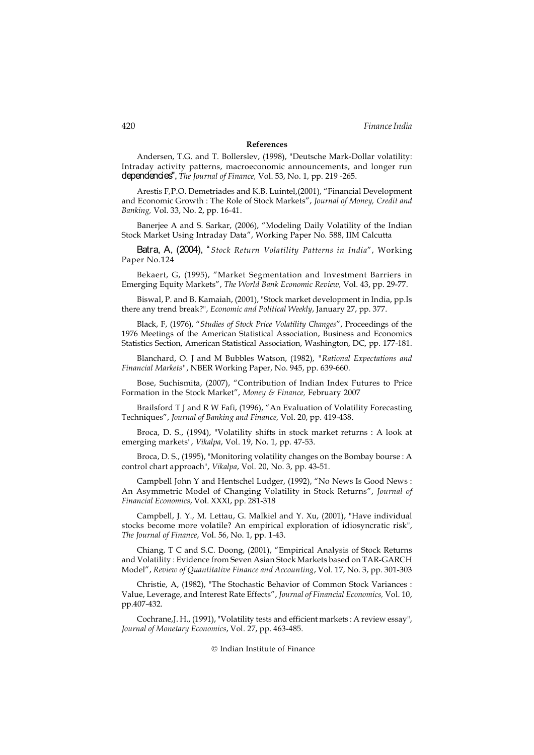# References

Andersen, T.G. and T. Bollerslev, (1998), "Deutsche Mark-Dollar volatility: Intraday activity patterns, macroeconomic announcements, and longer run dependencies", The Journal of Finance, Vol. 53, No. 1, pp. 219 -265.

Arestis F,P.O. Demetriades and K.B. Luintel,(2001), "Financial Development and Economic Growth : The Role of Stock Markets", Journal of Money, Credit and Banking, Vol. 33, No. 2, pp. 16-41.

Banerjee A and S. Sarkar, (2006), "Modeling Daily Volatility of the Indian Stock Market Using Intraday Data", Working Paper No. 588, IIM Calcutta

Batra, A, (2004), "Stock Return Volatility Patterns in India", Working Paper No.124

Bekaert, G, (1995), "Market Segmentation and Investment Barriers in Emerging Equity Markets", The World Bank Economic Review, Vol. 43, pp. 29-77.

Biswal, P. and B. Kamaiah, (2001), "Stock market development in India, pp.Is there any trend break?", Economic and Political Weekly, January 27, pp. 377.

Black, F, (1976), "Studies of Stock Price Volatility Changes", Proceedings of the 1976 Meetings of the American Statistical Association, Business and Economics Statistics Section, American Statistical Association, Washington, DC, pp. 177-181.

Blanchard, O. J and M Bubbles Watson, (1982), "Rational Expectations and Financial Markets", NBER Working Paper, No. 945, pp. 639-660.

Bose, Suchismita, (2007), "Contribution of Indian Index Futures to Price Formation in the Stock Market", Money & Finance, February 2007

Brailsford T J and R W Fafi, (1996), "An Evaluation of Volatility Forecasting Techniques", Journal of Banking and Finance, Vol. 20, pp. 419-438.

Broca, D. S., (1994), "Volatility shifts in stock market returns : A look at emerging markets", Vikalpa, Vol. 19, No. 1, pp. 47-53.

Broca, D. S., (1995), "Monitoring volatility changes on the Bombay bourse : A control chart approach", Vikalpa, Vol. 20, No. 3, pp. 43-51.

Campbell John Y and Hentschel Ludger, (1992), "No News Is Good News : An Asymmetric Model of Changing Volatility in Stock Returns", Journal of Financial Economics, Vol. XXXI, pp. 281-318

Campbell, J. Y., M. Lettau, G. Malkiel and Y. Xu, (2001), "Have individual stocks become more volatile? An empirical exploration of idiosyncratic risk", The Journal of Finance, Vol. 56, No. 1, pp. 1-43.

Chiang, T C and S.C. Doong, (2001), "Empirical Analysis of Stock Returns and Volatility : Evidence from Seven Asian Stock Markets based on TAR-GARCH Model", Review of Quantitative Finance and Accounting, Vol. 17, No. 3, pp. 301-303

Christie, A, (1982), "The Stochastic Behavior of Common Stock Variances : Value, Leverage, and Interest Rate Effects", Journal of Financial Economics, Vol. 10, pp.407-432.

Cochrane,J. H., (1991), "Volatility tests and efficient markets : A review essay", Journal of Monetary Economics, Vol. 27, pp. 463-485.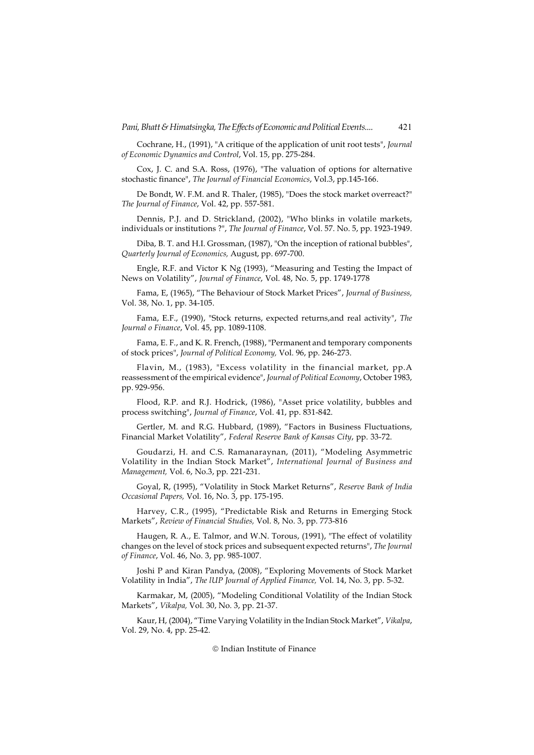Cochrane, H., (1991), "A critique of the application of unit root tests", Journal of Economic Dynamics and Control, Vol. 15, pp. 275-284.

Cox, J. C. and S.A. Ross, (1976), "The valuation of options for alternative stochastic finance", The Journal of Financial Economics, Vol.3, pp.145-166.

De Bondt, W. F.M. and R. Thaler, (1985), "Does the stock market overreact?" The Journal of Finance, Vol. 42, pp. 557-581.

Dennis, P.J. and D. Strickland, (2002), "Who blinks in volatile markets, individuals or institutions ?", The Journal of Finance, Vol. 57. No. 5, pp. 1923-1949.

Diba, B. T. and H.I. Grossman, (1987), "On the inception of rational bubbles", Quarterly Journal of Economics, August, pp. 697-700.

Engle, R.F. and Victor K Ng (1993), "Measuring and Testing the Impact of News on Volatility", Journal of Finance, Vol. 48, No. 5, pp. 1749-1778

Fama, E, (1965), "The Behaviour of Stock Market Prices", Journal of Business, Vol. 38, No. 1, pp. 34-105.

Fama, E.F., (1990), "Stock returns, expected returns,and real activity", The Journal o Finance, Vol. 45, pp. 1089-1108.

Fama, E. F., and K. R. French, (1988), "Permanent and temporary components of stock prices", Journal of Political Economy, Vol. 96, pp. 246-273.

Flavin, M., (1983), "Excess volatility in the financial market, pp.A reassessment of the empirical evidence", Journal of Political Economy, October 1983, pp. 929-956.

Flood, R.P. and R.J. Hodrick, (1986), "Asset price volatility, bubbles and process switching", Journal of Finance, Vol. 41, pp. 831-842.

Gertler, M. and R.G. Hubbard, (1989), "Factors in Business Fluctuations, Financial Market Volatility", Federal Reserve Bank of Kansas City, pp. 33-72.

Goudarzi, H. and C.S. Ramanaraynan, (2011), "Modeling Asymmetric Volatility in the Indian Stock Market", International Journal of Business and Management, Vol. 6, No.3, pp. 221-231.

Goyal, R, (1995), "Volatility in Stock Market Returns", Reserve Bank of India Occasional Papers, Vol. 16, No. 3, pp. 175-195.

Harvey, C.R., (1995), "Predictable Risk and Returns in Emerging Stock Markets", Review of Financial Studies, Vol. 8, No. 3, pp. 773-816

Haugen, R. A., E. Talmor, and W.N. Torous, (1991), "The effect of volatility changes on the level of stock prices and subsequent expected returns", The Journal of Finance, Vol. 46, No. 3, pp. 985-1007.

Joshi P and Kiran Pandya, (2008), "Exploring Movements of Stock Market Volatility in India", The lUP Journal of Applied Finance, Vol. 14, No. 3, pp. 5-32.

Karmakar, M, (2005), "Modeling Conditional Volatility of the Indian Stock Markets", Vikalpa, Vol. 30, No. 3, pp. 21-37.

Kaur, H, (2004), "Time Varying Volatility in the Indian Stock Market", Vikalpa, Vol. 29, No. 4, pp. 25-42.